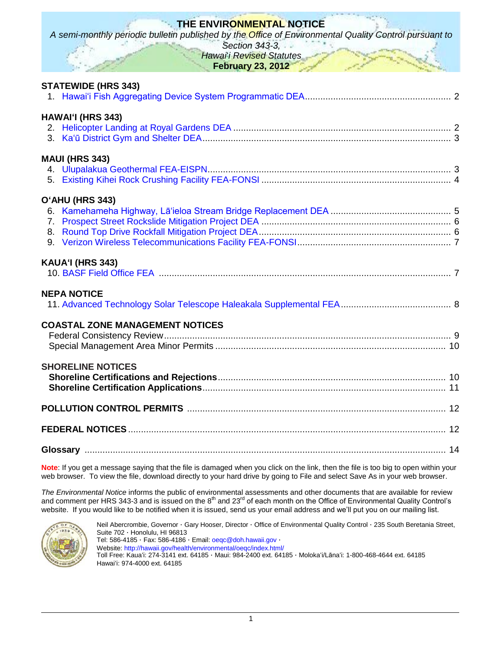| THE ENVIRONMENTAL NOTICE<br>A semi-monthly periodic bulletin published by the Office of Environmental Quality Control pursuant to<br>Section 343-3,<br>Hawai i Revised Statutes<br><b>February 23, 2012</b> |
|-------------------------------------------------------------------------------------------------------------------------------------------------------------------------------------------------------------|
| <b>STATEWIDE (HRS 343)</b>                                                                                                                                                                                  |
| <b>HAWAI'I (HRS 343)</b>                                                                                                                                                                                    |
| <b>MAUI (HRS 343)</b>                                                                                                                                                                                       |
| O'AHU (HRS 343)                                                                                                                                                                                             |
| KAUA'I (HRS 343)                                                                                                                                                                                            |
| <b>NEPA NOTICE</b>                                                                                                                                                                                          |
| <b>COASTAL ZONE MANAGEMENT NOTICES</b>                                                                                                                                                                      |
| <b>SHORELINE NOTICES</b>                                                                                                                                                                                    |
|                                                                                                                                                                                                             |
|                                                                                                                                                                                                             |
|                                                                                                                                                                                                             |

**Note**: If you get a message saying that the file is damaged when you click on the link, then the file is too big to open within your web browser. To view the file, download directly to your hard drive by going to File and select Save As in your web browser.

*The Environmental Notice* informs the public of environmental assessments and other documents that are available for review and comment per HRS 343-3 and is issued on the 8<sup>th</sup> and 23<sup>rd</sup> of each month on the Office of Environmental Quality Control's website. If you would like to be notified when it is issued, send us your email address and we'll put you on our mailing list.



Neil Abercrombie, Governor · Gary Hooser, Director · Office of Environmental Quality Control · 235 South Beretania Street, Suite 702 · Honolulu, HI 96813 Tel: 586-4185 · Fax: 586-4186 · Email: [oeqc@doh.hawaii.gov](mailto:oeqc@doh.hawaii.gov) · Website:<http://hawaii.gov/health/environmental/oeqc/index.html/> Toll Free: Kauaʻi: 274-3141 ext. 64185 · Maui: 984-2400 ext. 64185 · Molokaʻi/Lānaʻi: 1-800-468-4644 ext. 64185 Hawaiʻi: 974-4000 ext. 64185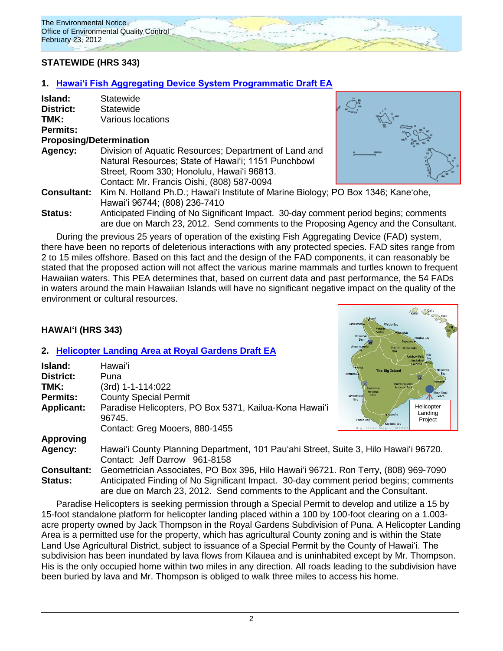

# **STATEWIDE (HRS 343)**

### **1. [Hawaiʻi Fish Aggregating Device System Programmatic Draft EA](http://oeqc.doh.hawaii.gov/Shared%20Documents/EA_and_EIS_Online_Library/Statewide/2010s/2012-02-23-DEA-Statewide-Fish-Aggregating-Devise-Program.pdf)**

| Island:   | Statewide |
|-----------|-----------|
| District: | Statewide |

**TMK:** Various locations

### **Permits:**

### **Proposing/Determination**

**Agency:** Division of Aquatic Resources; Department of Land and Natural Resources; State of Hawaiʻi; 1151 Punchbowl Street, Room 330; Honolulu, Hawaiʻi 96813. Contact: Mr. Francis Oishi, (808) 587-0094



**Consultant:** Kim N. Holland Ph.D.; Hawaiʻi Institute of Marine Biology; PO Box 1346; Kaneʻohe, Hawaiʻi 96744; (808) 236-7410

**Status:** Anticipated Finding of No Significant Impact. 30-day comment period begins; comments are due on March 23, 2012. Send comments to the Proposing Agency and the Consultant.

During the previous 25 years of operation of the existing Fish Aggregating Device (FAD) system, there have been no reports of deleterious interactions with any protected species. FAD sites range from 2 to 15 miles offshore. Based on this fact and the design of the FAD components, it can reasonably be stated that the proposed action will not affect the various marine mammals and turtles known to frequent Hawaiian waters. This PEA determines that, based on current data and past performance, the 54 FADs in waters around the main Hawaiian Islands will have no significant negative impact on the quality of the environment or cultural resources.

# **HAWAIʻI (HRS 343)**

### **2. [Helicopter Landing Area at Royal Gardens Draft EA](http://oeqc.doh.hawaii.gov/Shared%20Documents/EA_and_EIS_Online_Library/Hawaii/2010s/2012-02-23-DEA-Helicopter-Landing-at-Royal-Gardens.pdf)**

|                    |                                                                                      | Rainbow Fal<br>Liliuokalan<br>Gardens                          |
|--------------------|--------------------------------------------------------------------------------------|----------------------------------------------------------------|
| Island:            | Hawaiʻi                                                                              | <b>The Big Island</b><br>Nanawale                              |
| <b>District:</b>   | Puna                                                                                 | <b>Keaulhous</b>                                               |
| TMK:               | (3rd) 1-1-114:022                                                                    | Hawaii Volcano<br><b>National Park</b><br>Puuhonua<br>National |
| <b>Permits:</b>    | <b>County Special Permit</b>                                                         | <b>Black Sand</b><br>Park<br>Beach<br>Kealakekua<br>Bay        |
| <b>Applicant:</b>  | Paradise Helicopters, PO Box 5371, Kailua-Kona Hawai'i<br>96745.                     | Helicopter<br>Landing<br>· Naalehu<br>Project<br>Pohue Ba      |
|                    | Contact: Greg Mooers, 880-1455                                                       | Kaalualu Bay                                                   |
| <b>Approving</b>   |                                                                                      |                                                                |
| Agency:            | Hawai'i County Planning Department, 101 Pau'ahi Street, Suite 3, Hilo Hawai'i 96720. |                                                                |
|                    | Contact: Jeff Darrow 961-8158                                                        |                                                                |
| <b>Consultant:</b> | Geometrician Associates, PO Box 396, Hilo Hawai'i 96721. Ron Terry, (808) 969-7090   |                                                                |

**Status:** Anticipated Finding of No Significant Impact. 30-day comment period begins; comments are due on March 23, 2012. Send comments to the Applicant and the Consultant.

Paradise Helicopters is seeking permission through a Special Permit to develop and utilize a 15 by 15-foot standalone platform for helicopter landing placed within a 100 by 100-foot clearing on a 1.003 acre property owned by Jack Thompson in the Royal Gardens Subdivision of Puna. A Helicopter Landing Area is a permitted use for the property, which has agricultural County zoning and is within the State Land Use Agricultural District, subject to issuance of a Special Permit by the County of Hawai'i. The subdivision has been inundated by lava flows from Kilauea and is uninhabited except by Mr. Thompson. His is the only occupied home within two miles in any direction. All roads leading to the subdivision have been buried by lava and Mr. Thompson is obliged to walk three miles to access his home.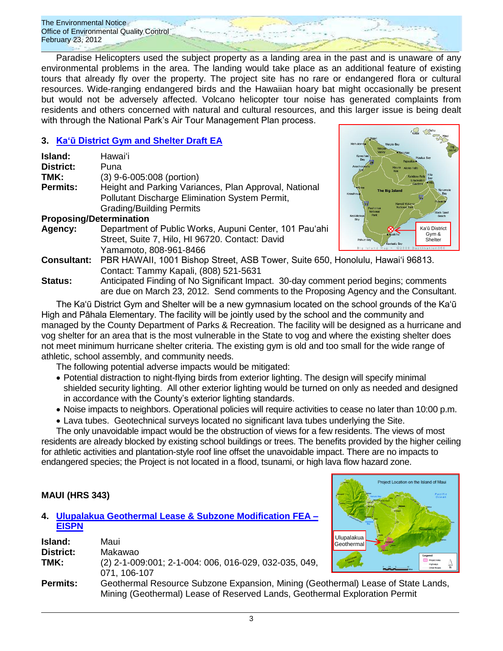

Paradise Helicopters used the subject property as a landing area in the past and is unaware of any environmental problems in the area. The landing would take place as an additional feature of existing tours that already fly over the property. The project site has no rare or endangered flora or cultural resources. Wide-ranging endangered birds and the Hawaiian hoary bat might occasionally be present but would not be adversely affected. Volcano helicopter tour noise has generated complaints from residents and others concerned with natural and cultural resources, and this larger issue is being dealt with through the National Park's Air Tour Management Plan process.

# **3. [Ka'ū District Gym and](http://oeqc.doh.hawaii.gov/Shared%20Documents/EA_and_EIS_Online_Library/Hawaii/2010s/2012-02-23-DEA-Kau-District-Gym-and-Shelter.pdf) Shelter Draft EA**

| Island:                        | Hawaiʻi                                               |
|--------------------------------|-------------------------------------------------------|
| <b>District:</b>               | Puna                                                  |
| TMK:                           | $(3)$ 9-6-005:008 (portion)                           |
| <b>Permits:</b>                | Height and Parking Variances, Plan Approval, National |
|                                | Pollutant Discharge Elimination System Permit,        |
|                                | <b>Grading/Building Permits</b>                       |
| <b>Proposing/Determination</b> |                                                       |
|                                |                                                       |

**Agency:** Department of Public Works, Aupuni Center, 101 Pauʻahi Street, Suite 7, Hilo, HI 96720. Contact: David Yamamoto, 808-961-8466



**Consultant:** PBR HAWAII, 1001 Bishop Street, ASB Tower, Suite 650, Honolulu, Hawai'i 96813. Contact: Tammy Kapali, (808) 521-5631

**Status:** Anticipated Finding of No Significant Impact. 30-day comment period begins; comments are due on March 23, 2012. Send comments to the Proposing Agency and the Consultant.

The Ka'ū District Gym and Shelter will be a new gymnasium located on the school grounds of the Ka'ū High and Pāhala Elementary. The facility will be jointly used by the school and the community and managed by the County Department of Parks & Recreation. The facility will be designed as a hurricane and vog shelter for an area that is the most vulnerable in the State to vog and where the existing shelter does not meet minimum hurricane shelter criteria. The existing gym is old and too small for the wide range of athletic, school assembly, and community needs.

The following potential adverse impacts would be mitigated:

- Potential distraction to night-flying birds from exterior lighting. The design will specify minimal shielded security lighting. All other exterior lighting would be turned on only as needed and designed in accordance with the County's exterior lighting standards.
- Noise impacts to neighbors. Operational policies will require activities to cease no later than 10:00 p.m.
- Lava tubes. Geotechnical surveys located no significant lava tubes underlying the Site.

The only unavoidable impact would be the obstruction of views for a few residents. The views of most residents are already blocked by existing school buildings or trees. The benefits provided by the higher ceiling for athletic activities and plantation-style roof line offset the unavoidable impact. There are no impacts to endangered species; the Project is not located in a flood, tsunami, or high lava flow hazard zone.

# **MAUI (HRS 343)**

| 4. Ulupalakua Geothermal Lease & Subzone Modification FEA - |
|-------------------------------------------------------------|
| <b>EISPN</b>                                                |

| Island:          | Maui                                                                                                                                                           | i Ulubalakua l<br><b>I</b> Geothermal |
|------------------|----------------------------------------------------------------------------------------------------------------------------------------------------------------|---------------------------------------|
| <b>District:</b> | Makawao                                                                                                                                                        | Legend                                |
| TMK:             | (2) 2-1-009:001; 2-1-004: 006, 016-029, 032-035, 049,<br>071.106-107                                                                                           |                                       |
| Permits:         | Geothermal Resource Subzone Expansion, Mining (Geothermal) Lease of State Lands,<br>Mining (Geothermal) Lease of Reserved Lands, Geothermal Exploration Permit |                                       |

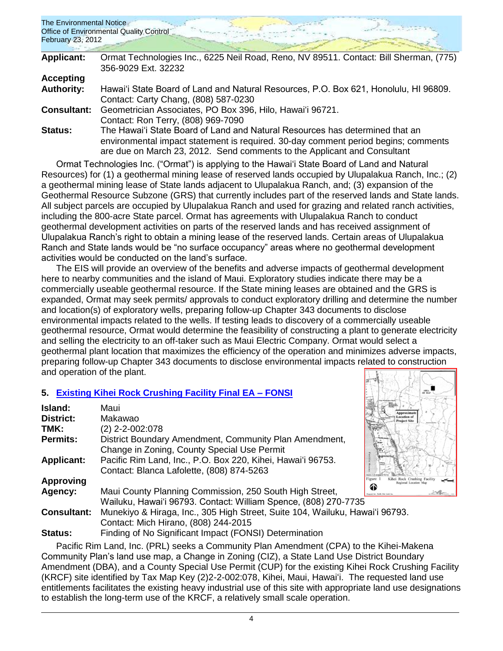| The Environmental Notice<br>February 23, 2012 | <b>Office of Environmental Quality Control</b>                                        |
|-----------------------------------------------|---------------------------------------------------------------------------------------|
| <b>Applicant:</b>                             | Ormat Technologies Inc., 6225 Neil Road, Reno, NV 89511. Contact: Bill Sherman, (775) |
|                                               | 356-9029 Ext. 32232                                                                   |
| <b>Accepting</b>                              |                                                                                       |
| <b>Authority:</b>                             | Hawai'i State Board of Land and Natural Resources, P.O. Box 621, Honolulu, HI 96809.  |
|                                               | Contact: Carty Chang, (808) 587-0230                                                  |
| <b>Consultant:</b>                            | Geometrician Associates, PO Box 396, Hilo, Hawai'i 96721.                             |
|                                               | Contact: Ron Terry, (808) 969-7090                                                    |
| Status:                                       | The Hawai'i State Board of Land and Natural Resources has determined that an          |
|                                               | environmental impact statement is required. 30-day comment period begins; comments    |
|                                               | are due on March 23, 2012. Send comments to the Applicant and Consultant              |

Ormat Technologies Inc. ("Ormat") is applying to the Hawai'i State Board of Land and Natural Resources) for (1) a geothermal mining lease of reserved lands occupied by Ulupalakua Ranch, Inc.; (2) a geothermal mining lease of State lands adjacent to Ulupalakua Ranch, and; (3) expansion of the Geothermal Resource Subzone (GRS) that currently includes part of the reserved lands and State lands. All subject parcels are occupied by Ulupalakua Ranch and used for grazing and related ranch activities, including the 800-acre State parcel. Ormat has agreements with Ulupalakua Ranch to conduct geothermal development activities on parts of the reserved lands and has received assignment of Ulupalakua Ranch's right to obtain a mining lease of the reserved lands. Certain areas of Ulupalakua Ranch and State lands would be "no surface occupancy" areas where no geothermal development activities would be conducted on the land's surface.

The EIS will provide an overview of the benefits and adverse impacts of geothermal development here to nearby communities and the island of Maui. Exploratory studies indicate there may be a commercially useable geothermal resource. If the State mining leases are obtained and the GRS is expanded, Ormat may seek permits/ approvals to conduct exploratory drilling and determine the number and location(s) of exploratory wells, preparing follow-up Chapter 343 documents to disclose environmental impacts related to the wells. If testing leads to discovery of a commercially useable geothermal resource, Ormat would determine the feasibility of constructing a plant to generate electricity and selling the electricity to an off-taker such as Maui Electric Company. Ormat would select a geothermal plant location that maximizes the efficiency of the operation and minimizes adverse impacts, preparing follow-up Chapter 343 documents to disclose environmental impacts related to construction and operation of the plant.

# **5. [Existing Kihei Rock Crushing Facility Final EA](http://oeqc.doh.hawaii.gov/Shared%20Documents/EA_and_EIS_Online_Library/Maui/2010s/2012-02-23-FEA-Existing-Kihei-Rock-Crushing-Facility.pdf) – FONSI**

| Island:            | Maui                                                                         | Approxim                |
|--------------------|------------------------------------------------------------------------------|-------------------------|
| <b>District:</b>   | Makawao                                                                      | ocation (<br>Project Si |
| TMK:               | (2) 2-2-002:078                                                              |                         |
| <b>Permits:</b>    | District Boundary Amendment, Community Plan Amendment,                       |                         |
|                    | Change in Zoning, County Special Use Permit                                  |                         |
| <b>Applicant:</b>  | Pacific Rim Land, Inc., P.O. Box 220, Kihei, Hawai'i 96753.                  |                         |
|                    | Contact: Blanca Lafolette, (808) 874-5263                                    |                         |
| <b>Approving</b>   |                                                                              | igure <sup>-</sup>      |
| Agency:            | Maui County Planning Commission, 250 South High Street,                      | ଊ                       |
|                    | Wailuku, Hawai'i 96793. Contact: William Spence, (808) 270-7735              |                         |
| <b>Consultant:</b> | Munekiyo & Hiraga, Inc., 305 High Street, Suite 104, Wailuku, Hawai'i 96793. |                         |
|                    | Contact: Mich Hirano, (808) 244-2015                                         |                         |
| Status:            | Finding of No Significant Impact (FONSI) Determination                       |                         |

Pacific Rim Land, Inc. (PRL) seeks a Community Plan Amendment (CPA) to the Kihei-Makena Community Plan's land use map, a Change in Zoning (CIZ), a State Land Use District Boundary Amendment (DBA), and a County Special Use Permit (CUP) for the existing Kihei Rock Crushing Facility (KRCF) site identified by Tax Map Key (2)2-2-002:078, Kihei, Maui, Hawaiʻi. The requested land use entitlements facilitates the existing heavy industrial use of this site with appropriate land use designations to establish the long-term use of the KRCF, a relatively small scale operation.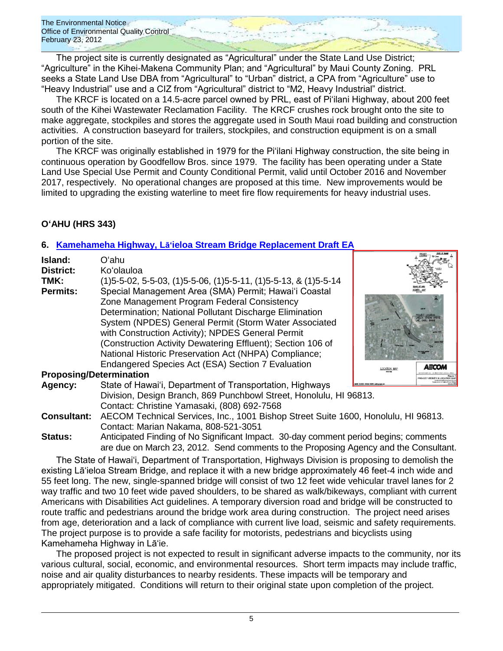The project site is currently designated as "Agricultural" under the State Land Use District; "Agriculture" in the Kihei-Makena Community Plan; and "Agricultural" by Maui County Zoning. PRL seeks a State Land Use DBA from "Agricultural" to "Urban" district, a CPA from "Agriculture" use to "Heavy Industrial" use and a CIZ from "Agricultural" district to "M2, Heavy Industrial" district.

The KRCF is located on a 14.5-acre parcel owned by PRL, east of Piʻilani Highway, about 200 feet south of the Kihei Wastewater Reclamation Facility. The KRCF crushes rock brought onto the site to make aggregate, stockpiles and stores the aggregate used in South Maui road building and construction activities. A construction baseyard for trailers, stockpiles, and construction equipment is on a small portion of the site.

The KRCF was originally established in 1979 for the Piʻilani Highway construction, the site being in continuous operation by Goodfellow Bros. since 1979. The facility has been operating under a State Land Use Special Use Permit and County Conditional Permit, valid until October 2016 and November 2017, respectively. No operational changes are proposed at this time. New improvements would be limited to upgrading the existing waterline to meet fire flow requirements for heavy industrial uses.

# **OʻAHU (HRS 343)**

# **6. Kamehameha Highway, Lāʻ[ieloa Stream Bridge Replacement Draft EA](http://oeqc.doh.hawaii.gov/Shared%20Documents/EA_and_EIS_Online_Library/Oahu/2010s/2012-02-23-DEA-Kamehameha-Hwy-Laieloa-Stream-Bridge-Replacement.pdf)**

| Island:<br><b>District:</b><br>TMK:<br><b>Permits:</b> | Oʻahu.<br>Ko'olauloa<br>$(1)5 - 5 - 02$ , 5-5-03, $(1)5 - 5 - 06$ , $(1)5 - 5 - 11$ , $(1)5 - 5 - 13$ , & $(1)5 - 5 - 14$<br>Special Management Area (SMA) Permit; Hawai'i Coastal<br>Zone Management Program Federal Consistency<br>Determination; National Pollutant Discharge Elimination<br>System (NPDES) General Permit (Storm Water Associated<br>with Construction Activity); NPDES General Permit<br>(Construction Activity Dewatering Effluent); Section 106 of<br>National Historic Preservation Act (NHPA) Compliance;<br>Endangered Species Act (ESA) Section 7 Evaluation |  |
|--------------------------------------------------------|-----------------------------------------------------------------------------------------------------------------------------------------------------------------------------------------------------------------------------------------------------------------------------------------------------------------------------------------------------------------------------------------------------------------------------------------------------------------------------------------------------------------------------------------------------------------------------------------|--|
| <b>Proposing/Determination</b>                         |                                                                                                                                                                                                                                                                                                                                                                                                                                                                                                                                                                                         |  |
| Agency:                                                | State of Hawai'i, Department of Transportation, Highways                                                                                                                                                                                                                                                                                                                                                                                                                                                                                                                                |  |
| <b>Consultant:</b>                                     | Division, Design Branch, 869 Punchbowl Street, Honolulu, HI 96813.<br>Contact: Christine Yamasaki, (808) 692-7568<br>AECOM Technical Services, Inc., 1001 Bishop Street Suite 1600, Honolulu, HI 96813.<br>Contact: Marian Nakama, 808-521-3051                                                                                                                                                                                                                                                                                                                                         |  |

**Status:** Anticipated Finding of No Significant Impact. 30-day comment period begins; comments are due on March 23, 2012. Send comments to the Proposing Agency and the Consultant.

The State of Hawai'i, Department of Transportation, Highways Division is proposing to demolish the existing Lāʻieloa Stream Bridge, and replace it with a new bridge approximately 46 feet-4 inch wide and 55 feet long. The new, single-spanned bridge will consist of two 12 feet wide vehicular travel lanes for 2 way traffic and two 10 feet wide paved shoulders, to be shared as walk/bikeways, compliant with current Americans with Disabilities Act guidelines. A temporary diversion road and bridge will be constructed to route traffic and pedestrians around the bridge work area during construction. The project need arises from age, deterioration and a lack of compliance with current live load, seismic and safety requirements. The project purpose is to provide a safe facility for motorists, pedestrians and bicyclists using Kamehameha Highway in Lāʻie.

The proposed project is not expected to result in significant adverse impacts to the community, nor its various cultural, social, economic, and environmental resources. Short term impacts may include traffic, noise and air quality disturbances to nearby residents. These impacts will be temporary and appropriately mitigated. Conditions will return to their original state upon completion of the project.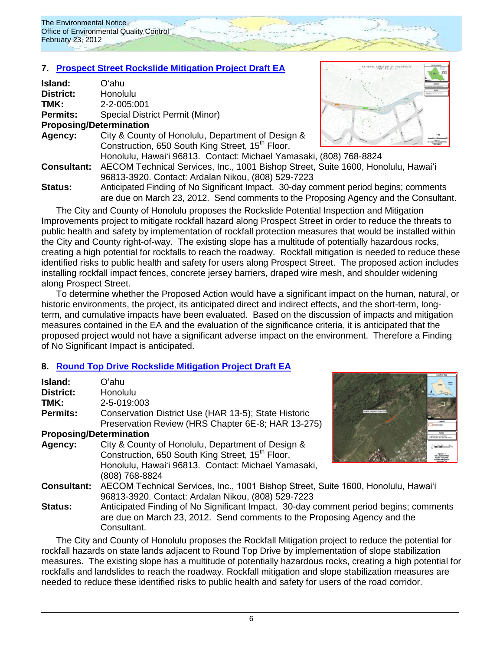# **7. Prospect Street [Rockslide Mitigation Project Draft EA](http://oeqc.doh.hawaii.gov/Shared%20Documents/EA_and_EIS_Online_Library/Oahu/2010s/2012-02-23-DEA-Prospect-Street-Rockfall-Mitigation.pdf)**

| <b>Island:</b>                 | Oʻahu                                                                               |  |
|--------------------------------|-------------------------------------------------------------------------------------|--|
| District:                      | Honolulu                                                                            |  |
| TMK:                           | 2-2-005:001                                                                         |  |
| <b>Permits:</b>                | Special District Permit (Minor)                                                     |  |
| <b>Proposing/Determination</b> |                                                                                     |  |
| Agency:                        | City & County of Honolulu, Department of Design &                                   |  |
|                                | Construction, 650 South King Street, 15 <sup>th</sup> Floor,                        |  |
|                                | Honolulu, Hawai'i 96813. Contact: Michael Yamasaki, (808) 768-8824                  |  |
| <b>Consultant:</b>             | AECOM Technical Services, Inc., 1001 Bishop Street, Suite 1600, Honolulu, Hawai'i   |  |
|                                | 96813-3920. Contact: Ardalan Nikou, (808) 529-7223                                  |  |
| Statue                         | Anticinated Finding of No Significant Impact - 30-day comment period begins: commer |  |



**Status:** Anticipated Finding of No Significant Impact. 30-day comment period begins; comments are due on March 23, 2012. Send comments to the Proposing Agency and the Consultant.

The City and County of Honolulu proposes the Rockslide Potential Inspection and Mitigation Improvements project to mitigate rockfall hazard along Prospect Street in order to reduce the threats to public health and safety by implementation of rockfall protection measures that would be installed within the City and County right-of-way. The existing slope has a multitude of potentially hazardous rocks, creating a high potential for rockfalls to reach the roadway. Rockfall mitigation is needed to reduce these identified risks to public health and safety for users along Prospect Street. The proposed action includes installing rockfall impact fences, concrete jersey barriers, draped wire mesh, and shoulder widening along Prospect Street.

To determine whether the Proposed Action would have a significant impact on the human, natural, or historic environments, the project, its anticipated direct and indirect effects, and the short-term, longterm, and cumulative impacts have been evaluated. Based on the discussion of impacts and mitigation measures contained in the EA and the evaluation of the significance criteria, it is anticipated that the proposed project would not have a significant adverse impact on the environment. Therefore a Finding of No Significant Impact is anticipated.

# **8. [Round Top Drive Rockslide Mitigation Project Draft EA](http://oeqc.doh.hawaii.gov/Shared%20Documents/EA_and_EIS_Online_Library/Oahu/2010s/2012-02-23-DEA-Round-Top-Drive-Rock-Slide-Mitigation-Project.pdf)**

| Island:            | Oʻahu                                                        |
|--------------------|--------------------------------------------------------------|
| <b>District:</b>   | <b>Honolulu</b>                                              |
| TMK:               | 2-5-019:003                                                  |
| <b>Permits:</b>    | Conservation District Use (HAR 13-5); State Historic         |
|                    | Preservation Review (HRS Chapter 6E-8; HAR 13-275)           |
|                    | <b>Proposing/Determination</b>                               |
| Agency:            | City & County of Honolulu, Department of Design &            |
|                    | Construction, 650 South King Street, 15 <sup>th</sup> Floor, |
|                    | Honolulu, Hawai'i 96813. Contact: Michael Yamasaki,          |
|                    | (808) 768-8824                                               |
| <b>Consultant:</b> | AECOM Technical Services, Inc., 1001 Bishop Street, Su       |
|                    | 96813-3920. Contact: Ardalan Nikou, (808) 529-7223           |
| Status:            | Anticipated Finding of No Significant Impact. 30-day com     |



iite 1600, Honolulu, Hawaiʻi ment period begins; comments are due on March 23, 2012. Send comments to the Proposing Agency and the

Consultant.

The City and County of Honolulu proposes the Rockfall Mitigation project to reduce the potential for rockfall hazards on state lands adjacent to Round Top Drive by implementation of slope stabilization measures. The existing slope has a multitude of potentially hazardous rocks, creating a high potential for rockfalls and landslides to reach the roadway. Rockfall mitigation and slope stabilization measures are needed to reduce these identified risks to public health and safety for users of the road corridor.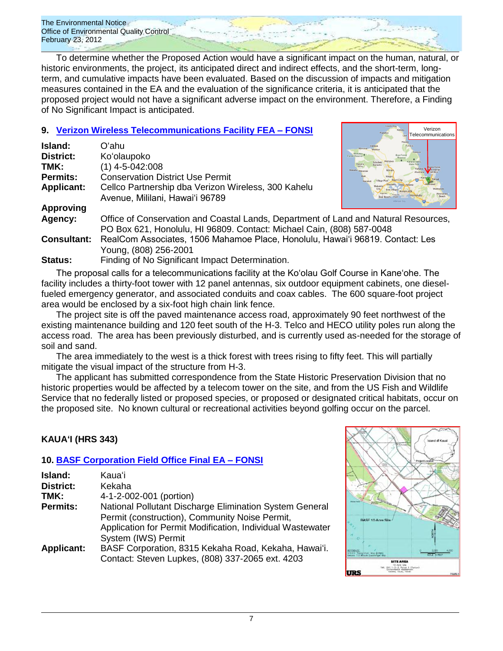To determine whether the Proposed Action would have a significant impact on the human, natural, or historic environments, the project, its anticipated direct and indirect effects, and the short-term, longterm, and cumulative impacts have been evaluated. Based on the discussion of impacts and mitigation measures contained in the EA and the evaluation of the significance criteria, it is anticipated that the proposed project would not have a significant adverse impact on the environment. Therefore, a Finding of No Significant Impact is anticipated.

# **9. [Verizon Wireless Telecommunications Facility FEA](http://oeqc.doh.hawaii.gov/Shared%20Documents/EA_and_EIS_Online_Library/Oahu/2010s/2012-02-23-FEA-Verizon-Wireless-Telecommunications-Facility.pdf) – FONSI**

| Island:            | Oʻahu                                                                               |                     |  |
|--------------------|-------------------------------------------------------------------------------------|---------------------|--|
| <b>District:</b>   | Ko'olaupoko                                                                         | <b>OCPS1 Reserv</b> |  |
| TMK:               | $(1)$ 4-5-042:008                                                                   | Makeha              |  |
| <b>Permits:</b>    | <b>Conservation District Use Permit</b>                                             |                     |  |
| <b>Applicant:</b>  | Cellco Partnership dba Verizon Wireless, 300 Kahelu                                 |                     |  |
|                    | Avenue, Mililani, Hawai'i 96789                                                     |                     |  |
| <b>Approving</b>   |                                                                                     |                     |  |
| Agency:            | Office of Conservation and Coastal Lands, Department of Land and Natural Resources, |                     |  |
|                    | PO Box 621, Honolulu, HI 96809. Contact: Michael Cain, (808) 587-0048               |                     |  |
| <b>Consultant:</b> | RealCom Associates, 1506 Mahamoe Place, Honolulu, Hawai'i 96819. Contact: Les       |                     |  |
|                    | Young, (808) 256-2001                                                               |                     |  |
| $\mathbf{a}$       | Els dis a col·lis Oing Week large col·lis teacher in the                            |                     |  |

**Status:** Finding of No Significant Impact Determination. The proposal calls for a telecommunications facility at the Koʻolau Golf Course in Kaneʻohe. The facility includes a thirty-foot tower with 12 panel antennas, six outdoor equipment cabinets, one dieselfueled emergency generator, and associated conduits and coax cables. The 600 square-foot project

area would be enclosed by a six-foot high chain link fence. The project site is off the paved maintenance access road, approximately 90 feet northwest of the existing maintenance building and 120 feet south of the H-3. Telco and HECO utility poles run along the access road. The area has been previously disturbed, and is currently used as-needed for the storage of soil and sand.

The area immediately to the west is a thick forest with trees rising to fifty feet. This will partially mitigate the visual impact of the structure from H-3.

The applicant has submitted correspondence from the State Historic Preservation Division that no historic properties would be affected by a telecom tower on the site, and from the US Fish and Wildlife Service that no federally listed or proposed species, or proposed or designated critical habitats, occur on the proposed site. No known cultural or recreational activities beyond golfing occur on the parcel.

# **KAUAʻI (HRS 343)**

# **10. [BASF Corporation Field Office Final EA –](http://oeqc.doh.hawaii.gov/Shared%20Documents/EA_and_EIS_Online_Library/Kauai/2010s/2012-02-23-FEA-BASF-Corporation-Field-Office.pdf) FONSI**

| Island:<br><b>District:</b><br>TMK: | Kaua'i<br>Kekaha<br>4-1-2-002-001 (portion)                                                                                                                                                    |
|-------------------------------------|------------------------------------------------------------------------------------------------------------------------------------------------------------------------------------------------|
| <b>Permits:</b>                     | National Pollutant Discharge Elimination System General<br>Permit (construction), Community Noise Permit,<br>Application for Permit Modification, Individual Wastewater<br>System (IWS) Permit |
| <b>Applicant:</b>                   | BASF Corporation, 8315 Kekaha Road, Kekaha, Hawai'i.<br>Contact: Steven Lupkes, (808) 337-2065 ext. 4203                                                                                       |



Verizon ommunications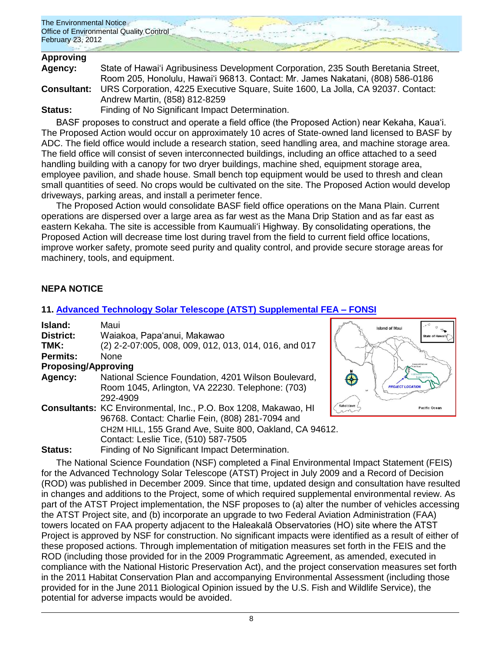| The Environmental Notice<br>Office of Environmental Quality Control |  |  |
|---------------------------------------------------------------------|--|--|
| February 23, 2012                                                   |  |  |

# **Approving**

| Agency: | State of Hawai'i Agribusiness Development Corporation, 235 South Beretania Street,                  |
|---------|-----------------------------------------------------------------------------------------------------|
|         | Room 205, Honolulu, Hawai'i 96813. Contact: Mr. James Nakatani, (808) 586-0186                      |
|         | <b>Consultant:</b> URS Corporation, 4225 Executive Square, Suite 1600, La Jolla, CA 92037. Contact: |
|         | Andrew Martin, (858) 812-8259                                                                       |
| Status: | Finding of No Significant Impact Determination.                                                     |

BASF proposes to construct and operate a field office (the Proposed Action) near Kekaha, Kauaʻi. The Proposed Action would occur on approximately 10 acres of State-owned land licensed to BASF by ADC. The field office would include a research station, seed handling area, and machine storage area. The field office will consist of seven interconnected buildings, including an office attached to a seed handling building with a canopy for two dryer buildings, machine shed, equipment storage area, employee pavilion, and shade house. Small bench top equipment would be used to thresh and clean small quantities of seed. No crops would be cultivated on the site. The Proposed Action would develop driveways, parking areas, and install a perimeter fence.

The Proposed Action would consolidate BASF field office operations on the Mana Plain. Current operations are dispersed over a large area as far west as the Mana Drip Station and as far east as eastern Kekaha. The site is accessible from Kaumualiʻi Highway. By consolidating operations, the Proposed Action will decrease time lost during travel from the field to current field office locations, improve worker safety, promote seed purity and quality control, and provide secure storage areas for machinery, tools, and equipment.

# **NEPA NOTICE**

# **11. [Advanced Technology Solar Telescope \(ATST\)](http://oeqc.doh.hawaii.gov/Shared%20Documents/EA_and_EIS_Online_Library/NEPA%20and%20Other%20Documents/2012-02-23-NEPA-Supplemental-FEA-Advanced%20Technology-Telescope-Haleakala.pdf) Supplemental FEA – FONSI**

| Island:                    | Maui                                                                   |
|----------------------------|------------------------------------------------------------------------|
| <b>District:</b>           | Waiakoa, Papa'anui, Makawao                                            |
| TMK:                       | (2) 2-2-07:005, 008, 009, 012, 013, 014, 016, and 017                  |
| <b>Permits:</b>            | <b>None</b>                                                            |
| <b>Proposing/Approving</b> |                                                                        |
| Agency:                    | National Science Foundation, 4201 Wilson Boulevard,                    |
|                            | Room 1045, Arlington, VA 22230. Telephone: (703)                       |
|                            | 292-4909                                                               |
|                            | <b>Consultants: KC Environmental, Inc., P.O. Box 1208, Makawao, HI</b> |
|                            | 96768. Contact: Charlie Fein, (808) 281-7094 and                       |
|                            | CH2M HILL, 155 Grand Ave, Suite 800, Oakland, CA 94612.                |
|                            | Contact: Leslie Tice, (510) 587-7505                                   |
| Status:                    | Finding of No Significant Impact Determination.                        |



The National Science Foundation (NSF) completed a Final Environmental Impact Statement (FEIS) for the Advanced Technology Solar Telescope (ATST) Project in July 2009 and a Record of Decision (ROD) was published in December 2009. Since that time, updated design and consultation have resulted in changes and additions to the Project, some of which required supplemental environmental review. As part of the ATST Project implementation, the NSF proposes to (a) alter the number of vehicles accessing the ATST Project site, and (b) incorporate an upgrade to two Federal Aviation Administration (FAA) towers located on FAA property adjacent to the Haleakalā Observatories (HO) site where the ATST Project is approved by NSF for construction. No significant impacts were identified as a result of either of these proposed actions. Through implementation of mitigation measures set forth in the FEIS and the ROD (including those provided for in the 2009 Programmatic Agreement, as amended, executed in compliance with the National Historic Preservation Act), and the project conservation measures set forth in the 2011 Habitat Conservation Plan and accompanying Environmental Assessment (including those provided for in the June 2011 Biological Opinion issued by the U.S. Fish and Wildlife Service), the potential for adverse impacts would be avoided.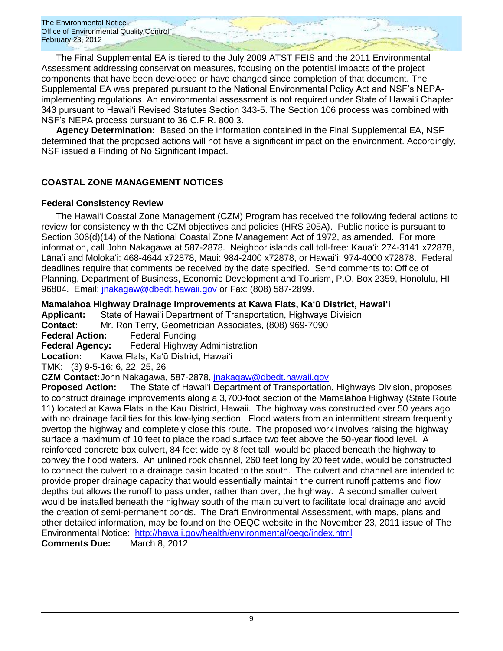The Final Supplemental EA is tiered to the July 2009 ATST FEIS and the 2011 Environmental Assessment addressing conservation measures, focusing on the potential impacts of the project components that have been developed or have changed since completion of that document. The Supplemental EA was prepared pursuant to the National Environmental Policy Act and NSF's NEPAimplementing regulations. An environmental assessment is not required under State of Hawai'i Chapter 343 pursuant to Hawai'i Revised Statutes Section 343-5. The Section 106 process was combined with NSF's NEPA process pursuant to 36 C.F.R. 800.3.

**Agency Determination:** Based on the information contained in the Final Supplemental EA, NSF determined that the proposed actions will not have a significant impact on the environment. Accordingly, NSF issued a Finding of No Significant Impact.

# **COASTAL ZONE MANAGEMENT NOTICES**

# **Federal Consistency Review**

The Hawaiʻi Coastal Zone Management (CZM) Program has received the following federal actions to review for consistency with the CZM objectives and policies (HRS 205A). Public notice is pursuant to Section 306(d)(14) of the National Coastal Zone Management Act of 1972, as amended. For more information, call John Nakagawa at 587-2878. Neighbor islands call toll-free: Kauaʻi: 274-3141 x72878, Lānaʻi and Molokaʻi: 468-4644 x72878, Maui: 984-2400 x72878, or Hawaiʻi: 974-4000 x72878. Federal deadlines require that comments be received by the date specified. Send comments to: Office of Planning, Department of Business, Economic Development and Tourism, P.O. Box 2359, Honolulu, HI 96804. Email: [jnakagaw@dbedt.hawaii.gov](mailto:jnakagaw@dbedt.hawaii.gov) or Fax: (808) 587-2899.

**Mamalahoa Highway Drainage Improvements at Kawa Flats, Kaʻū District, Hawaiʻi**

**Applicant:** State of Hawaiʻi Department of Transportation, Highways Division **Contact:** Mr. Ron Terry, Geometrician Associates, (808) 969-7090

**Federal Action:** Federal Funding

**Federal Agency:** Federal Highway Administration

**Location:** Kawa Flats, Kaʻū District, Hawaiʻi

TMK: (3) 9-5-16: 6, 22, 25, 26

**CZM Contact:**John Nakagawa, 587-2878, [jnakagaw@dbedt.hawaii.gov](mailto:jnakagaw@dbedt.hawaii.gov)

**Proposed Action:** The State of Hawaiʻi Department of Transportation, Highways Division, proposes to construct drainage improvements along a 3,700-foot section of the Mamalahoa Highway (State Route 11) located at Kawa Flats in the Kau District, Hawaii. The highway was constructed over 50 years ago with no drainage facilities for this low-lying section. Flood waters from an intermittent stream frequently overtop the highway and completely close this route. The proposed work involves raising the highway surface a maximum of 10 feet to place the road surface two feet above the 50-year flood level. A reinforced concrete box culvert, 84 feet wide by 8 feet tall, would be placed beneath the highway to convey the flood waters. An unlined rock channel, 260 feet long by 20 feet wide, would be constructed to connect the culvert to a drainage basin located to the south. The culvert and channel are intended to provide proper drainage capacity that would essentially maintain the current runoff patterns and flow depths but allows the runoff to pass under, rather than over, the highway. A second smaller culvert would be installed beneath the highway south of the main culvert to facilitate local drainage and avoid the creation of semi-permanent ponds. The Draft Environmental Assessment, with maps, plans and other detailed information, may be found on the OEQC website in the November 23, 2011 issue of The Environmental Notice: <http://hawaii.gov/health/environmental/oeqc/index.html>

**Comments Due:** March 8, 2012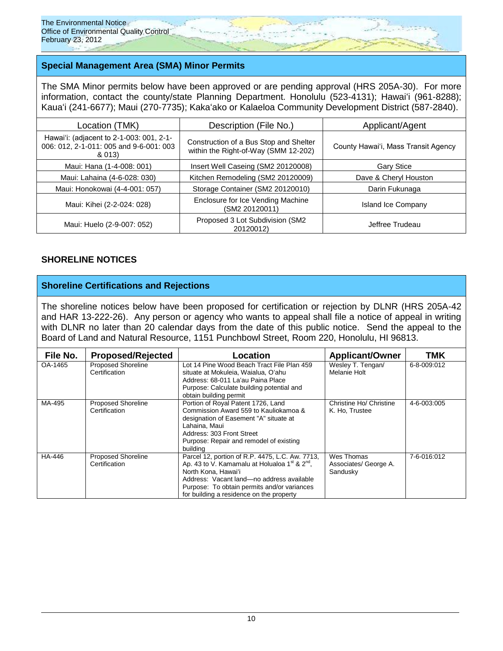# **Special Management Area (SMA) Minor Permits**

The SMA Minor permits below have been approved or are pending approval (HRS 205A-30). For more information, contact the county/state Planning Department. Honolulu (523-4131); Hawaiʻi (961-8288); Kauaʻi (241-6677); Maui (270-7735); Kakaʻako or Kalaeloa Community Development District (587-2840).

| Location (TMK)                                                                                | Description (File No.)                                                         | Applicant/Agent                     |  |
|-----------------------------------------------------------------------------------------------|--------------------------------------------------------------------------------|-------------------------------------|--|
| Hawai'i: (adjacent to 2-1-003: 001, 2-1-<br>006: 012, 2-1-011: 005 and 9-6-001: 003<br>& 013) | Construction of a Bus Stop and Shelter<br>within the Right-of-Way (SMM 12-202) | County Hawai'i, Mass Transit Agency |  |
| Maui: Hana (1-4-008: 001)                                                                     | Insert Well Caseing (SM2 20120008)                                             | <b>Gary Stice</b>                   |  |
| Maui: Lahaina (4-6-028: 030)                                                                  | Kitchen Remodeling (SM2 20120009)                                              | Dave & Cheryl Houston               |  |
| Maui: Honokowai (4-4-001: 057)                                                                | Storage Container (SM2 20120010)                                               | Darin Fukunaga                      |  |
| Maui: Kihei (2-2-024: 028)                                                                    | Enclosure for Ice Vending Machine<br>(SM2 20120011)                            | Island Ice Company                  |  |
| Maui: Huelo (2-9-007: 052)                                                                    | Proposed 3 Lot Subdivision (SM2)<br>20120012)                                  | Jeffree Trudeau                     |  |

# **SHORELINE NOTICES**

# **Shoreline Certifications and Rejections**

The shoreline notices below have been proposed for certification or rejection by DLNR (HRS 205A-42 and HAR 13-222-26). Any person or agency who wants to appeal shall file a notice of appeal in writing with DLNR no later than 20 calendar days from the date of this public notice. Send the appeal to the Board of Land and Natural Resource, 1151 Punchbowl Street, Room 220, Honolulu, HI 96813.

| File No. | <b>Proposed/Rejected</b>                   | -ocation                                                                                                                                                                                                                                                                  | <b>Applicant/Owner</b>                          | TMK         |
|----------|--------------------------------------------|---------------------------------------------------------------------------------------------------------------------------------------------------------------------------------------------------------------------------------------------------------------------------|-------------------------------------------------|-------------|
| OA-1465  | <b>Proposed Shoreline</b><br>Certification | Lot 14 Pine Wood Beach Tract File Plan 459<br>situate at Mokuleia, Waialua, O'ahu<br>Address: 68-011 La'au Paina Place<br>Purpose: Calculate building potential and<br>obtain building permit                                                                             | Wesley T. Tengan/<br>Melanie Holt               | 6-8-009:012 |
| MA-495   | <b>Proposed Shoreline</b><br>Certification | Portion of Royal Patent 1726, Land<br>Commission Award 559 to Kauliokamoa &<br>designation of Easement "A" situate at<br>Lahaina. Maui<br>Address: 303 Front Street<br>Purpose: Repair and remodel of existing<br>building                                                | Christine Ho/ Christine<br>K. Ho, Trustee       | 4-6-003:005 |
| HA-446   | <b>Proposed Shoreline</b><br>Certification | Parcel 12, portion of R.P. 4475, L.C. Aw. 7713,<br>Ap. 43 to V. Kamamalu at Holualoa $1^{st}$ & $2^{nd}$ .<br>North Kona, Hawai'i<br>Address: Vacant land-no address available<br>Purpose: To obtain permits and/or variances<br>for building a residence on the property | Wes Thomas<br>Associates/ George A.<br>Sandusky | 7-6-016:012 |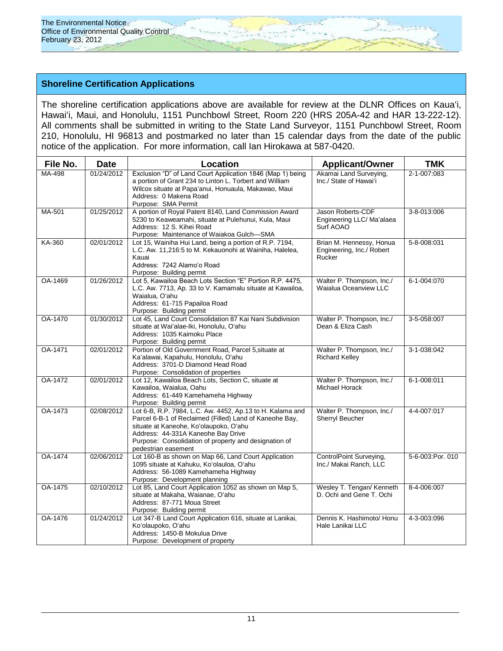# **Shoreline Certification Applications**

The shoreline certification applications above are available for review at the DLNR Offices on Kauaʻi, Hawaiʻi, Maui, and Honolulu, 1151 Punchbowl Street, Room 220 (HRS 205A-42 and HAR 13-222-12). All comments shall be submitted in writing to the State Land Surveyor, 1151 Punchbowl Street, Room 210, Honolulu, HI 96813 and postmarked no later than 15 calendar days from the date of the public notice of the application. For more information, call Ian Hirokawa at 587-0420.

| File No. | <b>Date</b> | <b>Location</b>                                                                                                                                                                                                                                                                      | <b>Applicant/Owner</b>                                          | <b>TMK</b>        |
|----------|-------------|--------------------------------------------------------------------------------------------------------------------------------------------------------------------------------------------------------------------------------------------------------------------------------------|-----------------------------------------------------------------|-------------------|
| MA-498   | 01/24/2012  | Exclusion "D" of Land Court Application 1846 (Map 1) being<br>a portion of Grant 234 to Linton L. Torbert and William<br>Wilcox situate at Papa'anui, Honuaula, Makawao, Maui<br>Address: 0 Makena Road<br>Purpose: SMA Permit                                                       | Akamai Land Surveying,<br>Inc./ State of Hawai'i                | 2-1-007:083       |
| MA-501   | 01/25/2012  | A portion of Royal Patent 8140, Land Commission Award<br>5230 to Keaweamahi, situate at Pulehunui, Kula, Maui<br>Address: 12 S. Kihei Road<br>Purpose: Maintenance of Waiakoa Gulch-SMA                                                                                              | Jason Roberts-CDF<br>Engineering LLC/ Ma'alaea<br>Surf AOAO     | 3-8-013:006       |
| KA-360   | 02/01/2012  | Lot 15, Wainiha Hui Land, being a portion of R.P. 7194,<br>L.C. Aw. 11,216:5 to M. Kekauonohi at Wainiha, Halelea,<br>Kauai<br>Address: 7242 Alamo'o Road<br>Purpose: Building permit                                                                                                | Brian M. Hennessy, Honua<br>Engineering, Inc./ Robert<br>Rucker | 5-8-008:031       |
| OA-1469  | 01/26/2012  | Lot 5, Kawailoa Beach Lots Section "E" Portion R.P. 4475,<br>L.C. Aw. 7713, Ap. 33 to V. Kamamalu situate at Kawailoa,<br>Waialua, O'ahu<br>Address: 61-715 Papailoa Road<br>Purpose: Building permit                                                                                | Walter P. Thompson, Inc./<br>Waialua Oceanview LLC              | 6-1-004:070       |
| OA-1470  | 01/30/2012  | Lot 45, Land Court Consolidation 87 Kai Nani Subdivision<br>situate at Wai'alae-Iki, Honolulu, O'ahu<br>Address: 1035 Kaimoku Place<br>Purpose: Building permit                                                                                                                      | Walter P. Thompson, Inc./<br>Dean & Eliza Cash                  | 3-5-058:007       |
| OA-1471  | 02/01/2012  | Portion of Old Government Road, Parcel 5, situate at<br>Ka'alawai, Kapahulu, Honolulu, O'ahu<br>Address: 3701-D Diamond Head Road<br>Purpose: Consolidation of properties                                                                                                            | Walter P. Thompson, Inc./<br><b>Richard Kelley</b>              | 3-1-038:042       |
| OA-1472  | 02/01/2012  | Lot 12, Kawailoa Beach Lots, Section C, situate at<br>Kawailoa, Waialua, Oahu<br>Address: 61-449 Kamehameha Highway<br>Purpose: Building permit                                                                                                                                      | Walter P. Thompson, Inc./<br>Michael Horack                     | $6 - 1 - 008:011$ |
| OA-1473  | 02/08/2012  | Lot 6-B, R.P. 7984, L.C. Aw. 4452, Ap.13 to H. Kalama and<br>Parcel 6-B-1 of Reclaimed (Filled) Land of Kaneohe Bay,<br>situate at Kaneohe, Ko'olaupoko, O'ahu<br>Address: 44-331A Kaneohe Bay Drive<br>Purpose: Consolidation of property and designation of<br>pedestrian easement | Walter P. Thompson, Inc./<br>Sherryl Beucher                    | 4-4-007:017       |
| OA-1474  | 02/06/2012  | Lot 160-B as shown on Map 66, Land Court Application<br>1095 situate at Kahuku, Ko'olauloa, O'ahu<br>Address: 56-1089 Kamehameha Highway<br>Purpose: Development planning                                                                                                            | ControlPoint Surveying,<br>Inc./ Makai Ranch, LLC               | 5-6-003:Por. 010  |
| OA-1475  | 02/10/2012  | Lot 85, Land Court Application 1052 as shown on Map 5,<br>situate at Makaha, Waianae, O'ahu<br>Address: 87-771 Moua Street<br>Purpose: Building permit                                                                                                                               | Wesley T. Tengan/ Kenneth<br>D. Ochi and Gene T. Ochi           | 8-4-006:007       |
| OA-1476  | 01/24/2012  | Lot 347-B Land Court Application 616, situate at Lanikai,<br>Ko'olaupoko, O'ahu<br>Address: 1450-B Mokulua Drive<br>Purpose: Development of property                                                                                                                                 | Dennis K. Hashimoto/ Honu<br>Hale Lanikai LLC                   | 4-3-003:096       |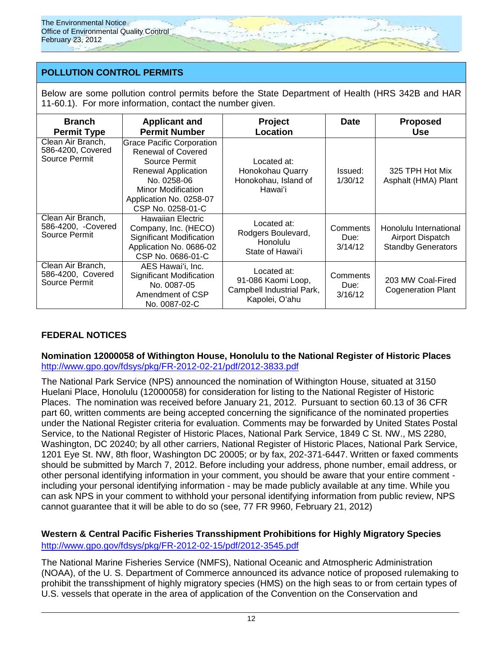# **POLLUTION CONTROL PERMITS**

Below are some pollution control permits before the State Department of Health (HRS 342B and HAR 11-60.1). For more information, contact the number given.

| <b>Branch</b><br><b>Permit Type</b>                      | <b>Applicant and</b><br><b>Permit Number</b>                                                                                                                                                             | Project<br>Location                                                              | <b>Date</b>                 | <b>Proposed</b><br><b>Use</b>                                           |
|----------------------------------------------------------|----------------------------------------------------------------------------------------------------------------------------------------------------------------------------------------------------------|----------------------------------------------------------------------------------|-----------------------------|-------------------------------------------------------------------------|
| Clean Air Branch,<br>586-4200, Covered<br>Source Permit  | <b>Grace Pacific Corporation</b><br><b>Renewal of Covered</b><br>Source Permit<br><b>Renewal Application</b><br>No. 0258-06<br><b>Minor Modification</b><br>Application No. 0258-07<br>CSP No. 0258-01-C | Located at:<br>Honokohau Quarry<br>Honokohau, Island of<br>Hawaiʻi               | Issued:<br>1/30/12          | 325 TPH Hot Mix<br>Asphalt (HMA) Plant                                  |
| Clean Air Branch,<br>586-4200, -Covered<br>Source Permit | Hawaiian Electric<br>Company, Inc. (HECO)<br><b>Significant Modification</b><br>Application No. 0686-02<br>CSP No. 0686-01-C                                                                             | Located at:<br>Rodgers Boulevard,<br>Honolulu<br>State of Hawai'i                | Comments<br>Due:<br>3/14/12 | Honolulu International<br>Airport Dispatch<br><b>Standby Generators</b> |
| Clean Air Branch,<br>586-4200, Covered<br>Source Permit  | AES Hawai'i, Inc.<br><b>Significant Modification</b><br>No. 0087-05<br>Amendment of CSP<br>No. 0087-02-C                                                                                                 | Located at:<br>91-086 Kaomi Loop,<br>Campbell Industrial Park,<br>Kapolei, O'ahu | Comments<br>Due:<br>3/16/12 | 203 MW Coal-Fired<br><b>Cogeneration Plant</b>                          |

# **FEDERAL NOTICES**

# **Nomination 12000058 of Withington House, Honolulu to the National Register of Historic Places** <http://www.gpo.gov/fdsys/pkg/FR-2012-02-21/pdf/2012-3833.pdf>

The National Park Service (NPS) announced the nomination of Withington House, situated at 3150 Huelani Place, Honolulu (12000058) for consideration for listing to the National Register of Historic Places. The nomination was received before January 21, 2012. Pursuant to section 60.13 of 36 CFR part 60, written comments are being accepted concerning the significance of the nominated properties under the National Register criteria for evaluation. Comments may be forwarded by United States Postal Service, to the National Register of Historic Places, National Park Service, 1849 C St. NW., MS 2280, Washington, DC 20240; by all other carriers, National Register of Historic Places, National Park Service, 1201 Eye St. NW, 8th floor, Washington DC 20005; or by fax, 202-371-6447. Written or faxed comments should be submitted by March 7, 2012. Before including your address, phone number, email address, or other personal identifying information in your comment, you should be aware that your entire comment including your personal identifying information - may be made publicly available at any time. While you can ask NPS in your comment to withhold your personal identifying information from public review, NPS cannot guarantee that it will be able to do so (see, 77 FR 9960, February 21, 2012)

# **Western & Central Pacific Fisheries Transshipment Prohibitions for Highly Migratory Species** <http://www.gpo.gov/fdsys/pkg/FR-2012-02-15/pdf/2012-3545.pdf>

The National Marine Fisheries Service (NMFS), National Oceanic and Atmospheric Administration (NOAA), of the U. S. Department of Commerce announced its advance notice of proposed rulemaking to prohibit the transshipment of highly migratory species (HMS) on the high seas to or from certain types of U.S. vessels that operate in the area of application of the Convention on the Conservation and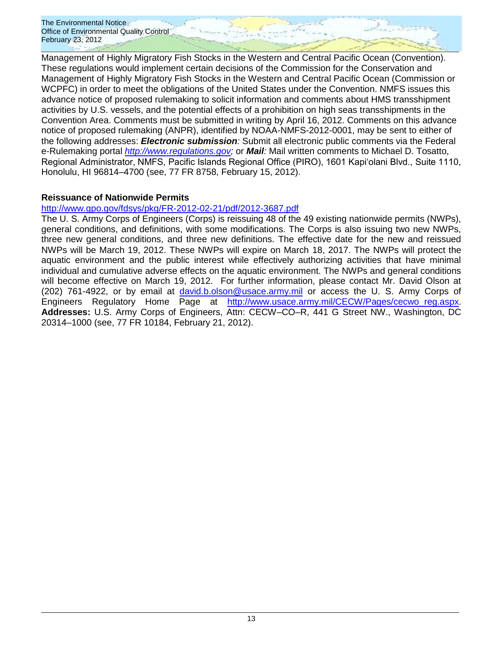Management of Highly Migratory Fish Stocks in the Western and Central Pacific Ocean (Convention). These regulations would implement certain decisions of the Commission for the Conservation and Management of Highly Migratory Fish Stocks in the Western and Central Pacific Ocean (Commission or WCPFC) in order to meet the obligations of the United States under the Convention. NMFS issues this advance notice of proposed rulemaking to solicit information and comments about HMS transshipment activities by U.S. vessels, and the potential effects of a prohibition on high seas transshipments in the Convention Area. Comments must be submitted in writing by April 16, 2012. Comments on this advance notice of proposed rulemaking (ANPR), identified by NOAA-NMFS-2012-0001, may be sent to either of the following addresses: *Electronic submission:* Submit all electronic public comments via the Federal e-Rulemaking portal *[http://www.regulations.gov;](http://www.regulations.gov/)* or *Mail:* Mail written comments to Michael D. Tosatto, Regional Administrator, NMFS, Pacific Islands Regional Office (PIRO), 1601 Kapiʻolani Blvd., Suite 1110, Honolulu, HI 96814–4700 (see, 77 FR 8758, February 15, 2012).

# **Reissuance of Nationwide Permits**

# <http://www.gpo.gov/fdsys/pkg/FR-2012-02-21/pdf/2012-3687.pdf>

The U. S. Army Corps of Engineers (Corps) is reissuing 48 of the 49 existing nationwide permits (NWPs), general conditions, and definitions, with some modifications. The Corps is also issuing two new NWPs, three new general conditions, and three new definitions. The effective date for the new and reissued NWPs will be March 19, 2012. These NWPs will expire on March 18, 2017. The NWPs will protect the aquatic environment and the public interest while effectively authorizing activities that have minimal individual and cumulative adverse effects on the aquatic environment. The NWPs and general conditions will become effective on March 19, 2012. For further information, please contact Mr. David Olson at (202) 761-4922, or by email at [david.b.olson@usace.army.mil](mailto:david.b.olson@usace.army.mil) or access the U. S. Army Corps of Engineers Regulatory Home Page at [http://www.usace.army.mil/CECW/Pages/cecwo\\_reg.aspx.](http://www.usace.army.mil/CECW/Pages/cecwo_reg.aspx) **Addresses:** U.S. Army Corps of Engineers, Attn: CECW–CO–R, 441 G Street NW., Washington, DC 20314–1000 (see, 77 FR 10184, February 21, 2012).